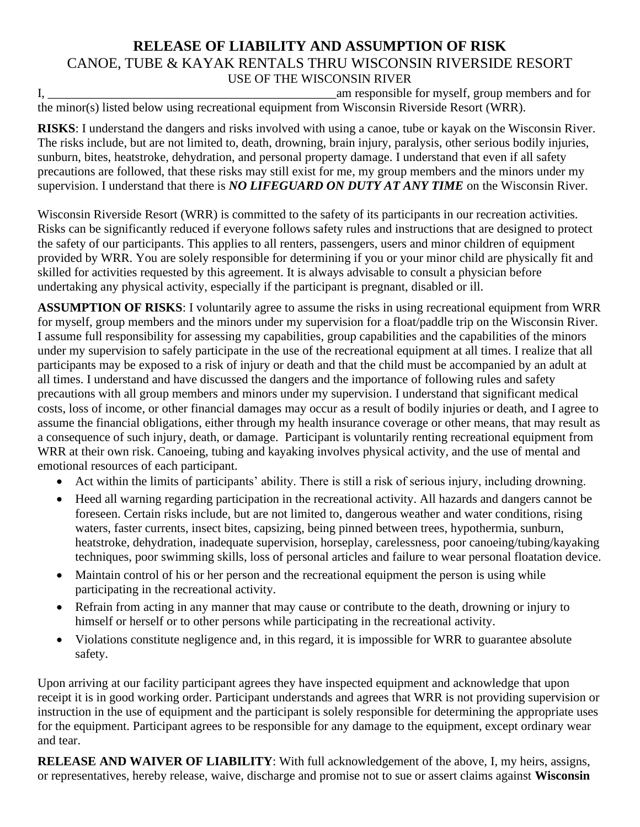## **RELEASE OF LIABILITY AND ASSUMPTION OF RISK** CANOE, TUBE & KAYAK RENTALS THRU WISCONSIN RIVERSIDE RESORT USE OF THE WISCONSIN RIVER

I, \_\_\_\_\_\_\_\_\_\_\_\_\_\_\_\_\_\_\_\_\_\_\_\_\_\_\_\_\_\_\_\_\_\_\_\_\_\_\_\_\_\_\_\_\_\_am responsible for myself, group members and for the minor(s) listed below using recreational equipment from Wisconsin Riverside Resort (WRR).

**RISKS**: I understand the dangers and risks involved with using a canoe, tube or kayak on the Wisconsin River. The risks include, but are not limited to, death, drowning, brain injury, paralysis, other serious bodily injuries, sunburn, bites, heatstroke, dehydration, and personal property damage. I understand that even if all safety precautions are followed, that these risks may still exist for me, my group members and the minors under my supervision. I understand that there is *NO LIFEGUARD ON DUTY AT ANY TIME* on the Wisconsin River.

Wisconsin Riverside Resort (WRR) is committed to the safety of its participants in our recreation activities. Risks can be significantly reduced if everyone follows safety rules and instructions that are designed to protect the safety of our participants. This applies to all renters, passengers, users and minor children of equipment provided by WRR. You are solely responsible for determining if you or your minor child are physically fit and skilled for activities requested by this agreement. It is always advisable to consult a physician before undertaking any physical activity, especially if the participant is pregnant, disabled or ill.

**ASSUMPTION OF RISKS**: I voluntarily agree to assume the risks in using recreational equipment from WRR for myself, group members and the minors under my supervision for a float/paddle trip on the Wisconsin River. I assume full responsibility for assessing my capabilities, group capabilities and the capabilities of the minors under my supervision to safely participate in the use of the recreational equipment at all times. I realize that all participants may be exposed to a risk of injury or death and that the child must be accompanied by an adult at all times. I understand and have discussed the dangers and the importance of following rules and safety precautions with all group members and minors under my supervision. I understand that significant medical costs, loss of income, or other financial damages may occur as a result of bodily injuries or death, and I agree to assume the financial obligations, either through my health insurance coverage or other means, that may result as a consequence of such injury, death, or damage. Participant is voluntarily renting recreational equipment from WRR at their own risk. Canoeing, tubing and kayaking involves physical activity, and the use of mental and emotional resources of each participant.

- Act within the limits of participants' ability. There is still a risk of serious injury, including drowning.
- Heed all warning regarding participation in the recreational activity. All hazards and dangers cannot be foreseen. Certain risks include, but are not limited to, dangerous weather and water conditions, rising waters, faster currents, insect bites, capsizing, being pinned between trees, hypothermia, sunburn, heatstroke, dehydration, inadequate supervision, horseplay, carelessness, poor canoeing/tubing/kayaking techniques, poor swimming skills, loss of personal articles and failure to wear personal floatation device.
- Maintain control of his or her person and the recreational equipment the person is using while participating in the recreational activity.
- Refrain from acting in any manner that may cause or contribute to the death, drowning or injury to himself or herself or to other persons while participating in the recreational activity.
- Violations constitute negligence and, in this regard, it is impossible for WRR to guarantee absolute safety.

Upon arriving at our facility participant agrees they have inspected equipment and acknowledge that upon receipt it is in good working order. Participant understands and agrees that WRR is not providing supervision or instruction in the use of equipment and the participant is solely responsible for determining the appropriate uses for the equipment. Participant agrees to be responsible for any damage to the equipment, except ordinary wear and tear.

**RELEASE AND WAIVER OF LIABILITY**: With full acknowledgement of the above, I, my heirs, assigns, or representatives, hereby release, waive, discharge and promise not to sue or assert claims against **Wisconsin**